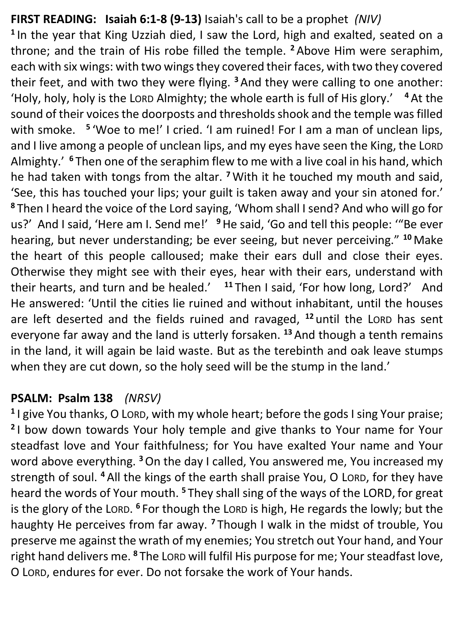## **FIRST READING: Isaiah 6:1-8 (9-13)** Isaiah's call to be a prophet *(NIV)*

**1** In the year that King Uzziah died, I saw the Lord, high and exalted, seated on a throne; and the train of His robe filled the temple. **<sup>2</sup>** Above Him were seraphim, each with six wings: with two wings they covered their faces, with two they covered their feet, and with two they were flying. **<sup>3</sup>**And they were calling to one another: 'Holy, holy, holy is the LORD Almighty; the whole earth is full of His glory.' **<sup>4</sup>** At the sound of their voices the doorposts and thresholds shook and the temple was filled with smoke. <sup>5</sup> 'Woe to me!' I cried. 'I am ruined! For I am a man of unclean lips, and I live among a people of unclean lips, and my eyes have seen the King, the LORD Almighty.' **<sup>6</sup>** Then one of the seraphim flew to me with a live coal in his hand, which he had taken with tongs from the altar. **<sup>7</sup>** With it he touched my mouth and said, 'See, this has touched your lips; your guilt is taken away and your sin atoned for.' **<sup>8</sup>** Then I heard the voice of the Lord saying, 'Whom shall I send? And who will go for us?' And I said, 'Here am I. Send me!' <sup>9</sup> He said, 'Go and tell this people: "'Be ever hearing, but never understanding; be ever seeing, but never perceiving." **<sup>10</sup>** Make the heart of this people calloused; make their ears dull and close their eyes. Otherwise they might see with their eyes, hear with their ears, understand with their hearts, and turn and be healed.' **<sup>11</sup>** Then I said, 'For how long, Lord?' And He answered: 'Until the cities lie ruined and without inhabitant, until the houses are left deserted and the fields ruined and ravaged, **<sup>12</sup>** until the LORD has sent everyone far away and the land is utterly forsaken. **<sup>13</sup>** And though a tenth remains in the land, it will again be laid waste. But as the terebinth and oak leave stumps when they are cut down, so the holy seed will be the stump in the land.'

## **PSALM: Psalm 138** *(NRSV)*

**1** I give You thanks, O LORD, with my whole heart; before the gods I sing Your praise; **2** I bow down towards Your holy temple and give thanks to Your name for Your steadfast love and Your faithfulness; for You have exalted Your name and Your word above everything. **<sup>3</sup>**On the day I called, You answered me, You increased my strength of soul. **<sup>4</sup>** All the kings of the earth shall praise You, O LORD, for they have heard the words of Your mouth. **<sup>5</sup>** They shall sing of the ways of the LORD, for great is the glory of the LORD. **<sup>6</sup>** For though the LORD is high, He regards the lowly; but the haughty He perceives from far away. **<sup>7</sup>** Though I walk in the midst of trouble, You preserve me against the wrath of my enemies; You stretch out Your hand, and Your right hand delivers me. **<sup>8</sup>** The LORD will fulfil His purpose for me; Your steadfast love, O LORD, endures for ever. Do not forsake the work of Your hands.